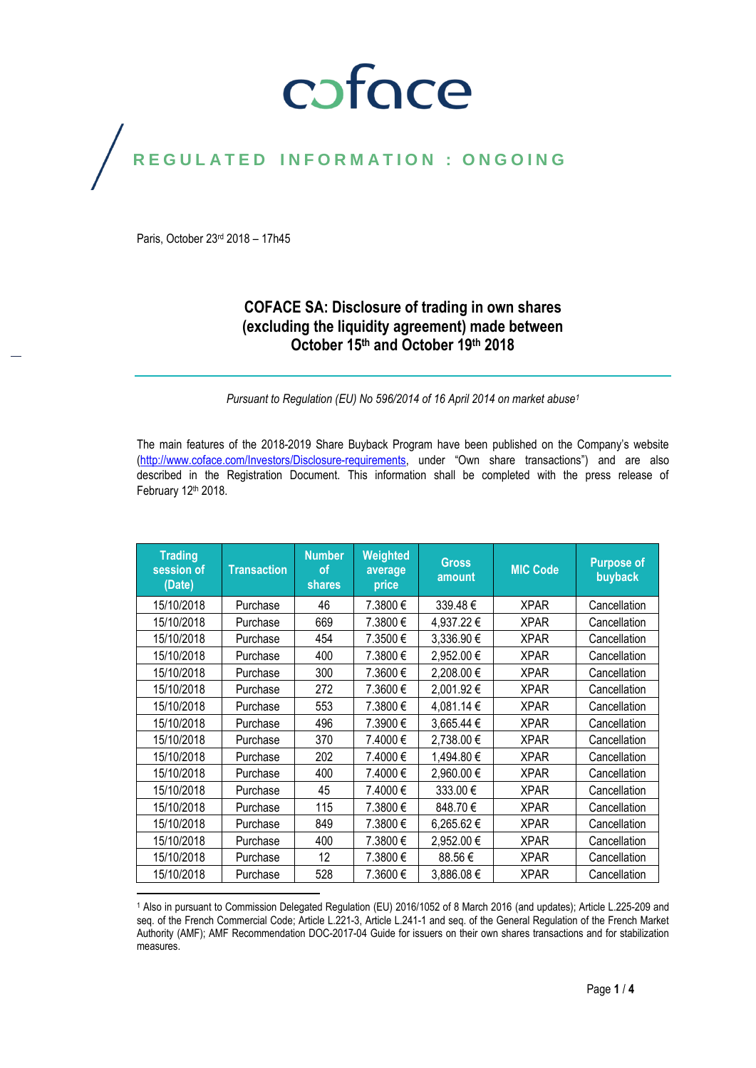## coface

## REGULATED INFORMATION : ONGOING

Paris, October 23rd 2018 – 17h45

#### **COFACE SA: Disclosure of trading in own shares (excluding the liquidity agreement) made between October 15th and October 19 th 2018**

*Pursuant to Regulation (EU) No 596/2014 of 16 April 2014 on market abuse<sup>1</sup>*

The main features of the 2018-2019 Share Buyback Program have been published on the Company's website [\(http://www.coface.com/Investors/Disclosure-requirements](http://www.coface.com/Investors/Disclosure-requirements), under "Own share transactions") and are also described in the Registration Document. This information shall be completed with the press release of February 12th 2018.

| <b>Trading</b><br>session of<br>(Date) | <b>Transaction</b> | <b>Number</b><br>οf<br><b>shares</b> | Weighted<br>average<br>price | <b>Gross</b><br>amount | <b>MIC Code</b> | <b>Purpose of</b><br>buyback |
|----------------------------------------|--------------------|--------------------------------------|------------------------------|------------------------|-----------------|------------------------------|
| 15/10/2018                             | Purchase           | 46                                   | 7.3800 €                     | 339.48€                | <b>XPAR</b>     | Cancellation                 |
| 15/10/2018                             | Purchase           | 669                                  | 7.3800 €                     | 4,937.22 €             | <b>XPAR</b>     | Cancellation                 |
| 15/10/2018                             | Purchase           | 454                                  | 7.3500 €                     | 3,336.90€              | <b>XPAR</b>     | Cancellation                 |
| 15/10/2018                             | Purchase           | 400                                  | 7.3800€                      | 2,952.00€              | <b>XPAR</b>     | Cancellation                 |
| 15/10/2018                             | Purchase           | 300                                  | 7.3600 €                     | 2,208.00 €             | <b>XPAR</b>     | Cancellation                 |
| 15/10/2018                             | Purchase           | 272                                  | 7.3600 €                     | 2,001.92€              | <b>XPAR</b>     | Cancellation                 |
| 15/10/2018                             | Purchase           | 553                                  | 7.3800€                      | 4,081.14 €             | <b>XPAR</b>     | Cancellation                 |
| 15/10/2018                             | Purchase           | 496                                  | 7.3900 €                     | 3,665.44 €             | <b>XPAR</b>     | Cancellation                 |
| 15/10/2018                             | Purchase           | 370                                  | 7.4000 €                     | 2,738.00 €             | <b>XPAR</b>     | Cancellation                 |
| 15/10/2018                             | Purchase           | 202                                  | 7.4000 €                     | 1,494.80 €             | <b>XPAR</b>     | Cancellation                 |
| 15/10/2018                             | Purchase           | 400                                  | 7.4000€                      | 2,960.00€              | <b>XPAR</b>     | Cancellation                 |
| 15/10/2018                             | Purchase           | 45                                   | 7.4000€                      | 333.00€                | <b>XPAR</b>     | Cancellation                 |
| 15/10/2018                             | Purchase           | 115                                  | 7.3800€                      | 848.70€                | <b>XPAR</b>     | Cancellation                 |
| 15/10/2018                             | Purchase           | 849                                  | 7.3800€                      | 6,265.62€              | <b>XPAR</b>     | Cancellation                 |
| 15/10/2018                             | Purchase           | 400                                  | 7.3800 €                     | 2,952.00 €             | <b>XPAR</b>     | Cancellation                 |
| 15/10/2018                             | Purchase           | 12                                   | 7.3800€                      | 88.56€                 | <b>XPAR</b>     | Cancellation                 |
| 15/10/2018                             | Purchase           | 528                                  | 7.3600 €                     | 3,886.08€              | <b>XPAR</b>     | Cancellation                 |

 $\overline{a}$ <sup>1</sup> Also in pursuant to Commission Delegated Regulation (EU) 2016/1052 of 8 March 2016 (and updates); Article L.225-209 and seq. of the French Commercial Code; Article L.221-3, Article L.241-1 and seq. of the General Regulation of the French Market Authority (AMF); AMF Recommendation DOC-2017-04 Guide for issuers on their own shares transactions and for stabilization measures.

Page **1** / **4**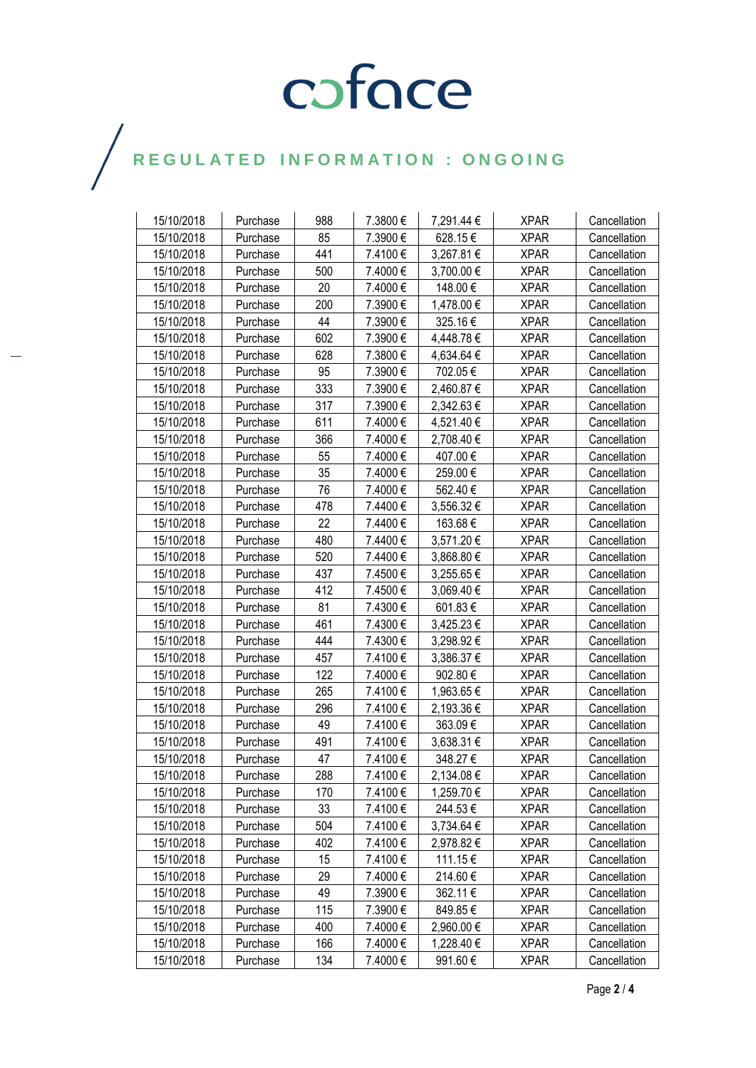## COFOCE

## $\bigg)$

| 15/10/2018 | Purchase | 988 | 7.3800€ | 7,291.44 € | <b>XPAR</b> | Cancellation |
|------------|----------|-----|---------|------------|-------------|--------------|
| 15/10/2018 | Purchase | 85  | 7.3900€ | 628.15€    | <b>XPAR</b> | Cancellation |
| 15/10/2018 | Purchase | 441 | 7.4100€ | 3,267.81 € | <b>XPAR</b> | Cancellation |
| 15/10/2018 | Purchase | 500 | 7.4000€ | 3,700.00€  | <b>XPAR</b> | Cancellation |
| 15/10/2018 | Purchase | 20  | 7.4000€ | 148.00€    | <b>XPAR</b> | Cancellation |
| 15/10/2018 | Purchase | 200 | 7.3900€ | 1,478.00 € | <b>XPAR</b> | Cancellation |
| 15/10/2018 | Purchase | 44  | 7.3900€ | 325.16€    | <b>XPAR</b> | Cancellation |
| 15/10/2018 | Purchase | 602 | 7.3900€ | 4,448.78€  | <b>XPAR</b> | Cancellation |
| 15/10/2018 | Purchase | 628 | 7.3800€ | 4,634.64 € | <b>XPAR</b> | Cancellation |
| 15/10/2018 | Purchase | 95  | 7.3900€ | 702.05€    | <b>XPAR</b> | Cancellation |
| 15/10/2018 | Purchase | 333 | 7.3900€ | 2,460.87 € | <b>XPAR</b> | Cancellation |
| 15/10/2018 | Purchase | 317 | 7.3900€ | 2,342.63 € | <b>XPAR</b> | Cancellation |
| 15/10/2018 | Purchase | 611 | 7.4000€ | 4,521.40 € | <b>XPAR</b> | Cancellation |
| 15/10/2018 | Purchase | 366 | 7.4000€ | 2,708.40 € | <b>XPAR</b> | Cancellation |
| 15/10/2018 | Purchase | 55  | 7.4000€ | 407.00€    | <b>XPAR</b> | Cancellation |
| 15/10/2018 | Purchase | 35  | 7.4000€ | 259.00€    | <b>XPAR</b> | Cancellation |
| 15/10/2018 | Purchase | 76  | 7.4000€ | 562.40€    | <b>XPAR</b> | Cancellation |
| 15/10/2018 | Purchase | 478 | 7.4400€ | 3,556.32 € | <b>XPAR</b> | Cancellation |
| 15/10/2018 | Purchase | 22  | 7.4400€ | 163.68€    | <b>XPAR</b> | Cancellation |
| 15/10/2018 | Purchase | 480 | 7.4400€ | 3,571.20 € | <b>XPAR</b> | Cancellation |
| 15/10/2018 | Purchase | 520 | 7.4400€ | 3,868.80 € | <b>XPAR</b> | Cancellation |
| 15/10/2018 | Purchase | 437 | 7.4500€ | 3,255.65€  | <b>XPAR</b> | Cancellation |
| 15/10/2018 | Purchase | 412 | 7.4500€ | 3,069.40 € | <b>XPAR</b> | Cancellation |
| 15/10/2018 | Purchase | 81  | 7.4300€ | 601.83€    | <b>XPAR</b> | Cancellation |
| 15/10/2018 | Purchase | 461 | 7.4300€ | 3,425.23 € | <b>XPAR</b> | Cancellation |
| 15/10/2018 | Purchase | 444 | 7.4300€ | 3,298.92€  | <b>XPAR</b> | Cancellation |
| 15/10/2018 | Purchase | 457 | 7.4100€ | 3,386.37 € | <b>XPAR</b> | Cancellation |
| 15/10/2018 | Purchase | 122 | 7.4000€ | 902.80€    | <b>XPAR</b> | Cancellation |
| 15/10/2018 | Purchase | 265 | 7.4100€ | 1,963.65 € | <b>XPAR</b> | Cancellation |
| 15/10/2018 | Purchase | 296 | 7.4100€ | 2,193.36 € | <b>XPAR</b> | Cancellation |
| 15/10/2018 | Purchase | 49  | 7.4100€ | 363.09€    | <b>XPAR</b> | Cancellation |
| 15/10/2018 | Purchase | 491 | 7.4100€ | 3,638.31 € | <b>XPAR</b> | Cancellation |
| 15/10/2018 | Purchase | 47  | 7.4100€ | 348.27€    | <b>XPAR</b> | Cancellation |
| 15/10/2018 | Purchase | 288 | 7.4100€ | 2,134.08 € | <b>XPAR</b> | Cancellation |
| 15/10/2018 | Purchase | 170 | 7.4100€ | 1,259.70 € | <b>XPAR</b> | Cancellation |
| 15/10/2018 | Purchase | 33  | 7.4100€ | 244.53€    | <b>XPAR</b> | Cancellation |
| 15/10/2018 | Purchase | 504 | 7.4100€ | 3,734.64 € | <b>XPAR</b> | Cancellation |
| 15/10/2018 | Purchase | 402 | 7.4100€ | 2,978.82 € | <b>XPAR</b> | Cancellation |
| 15/10/2018 | Purchase | 15  | 7.4100€ | 111.15€    | <b>XPAR</b> | Cancellation |
| 15/10/2018 | Purchase | 29  | 7.4000€ | 214.60€    | <b>XPAR</b> | Cancellation |
| 15/10/2018 | Purchase | 49  | 7.3900€ | 362.11 €   | <b>XPAR</b> | Cancellation |
| 15/10/2018 | Purchase | 115 | 7.3900€ | 849.85€    | <b>XPAR</b> | Cancellation |
| 15/10/2018 | Purchase | 400 | 7.4000€ | 2,960.00 € | <b>XPAR</b> | Cancellation |
| 15/10/2018 | Purchase | 166 | 7.4000€ | 1,228.40 € | <b>XPAR</b> | Cancellation |
| 15/10/2018 | Purchase | 134 | 7.4000€ | 991.60€    | <b>XPAR</b> | Cancellation |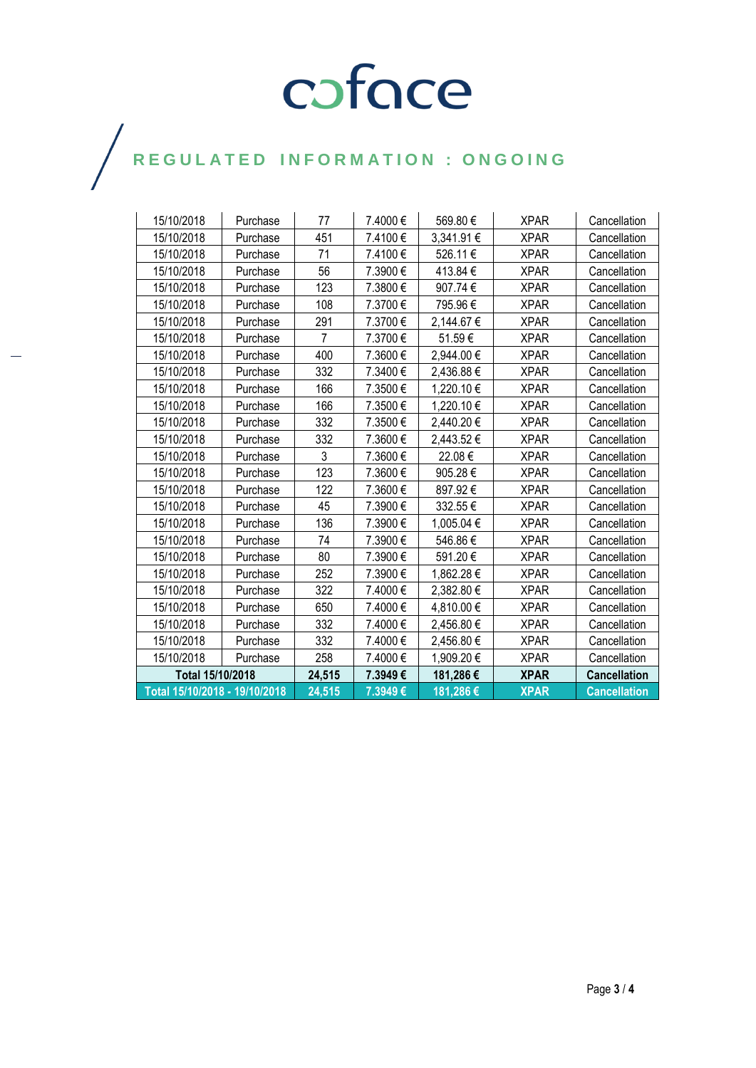# COFOCE

## $\bigg)$

| 15/10/2018                    | Purchase | 77     | 7.4000€  | 569.80€    | <b>XPAR</b> | Cancellation        |
|-------------------------------|----------|--------|----------|------------|-------------|---------------------|
| 15/10/2018                    | Purchase | 451    | 7.4100€  | 3,341.91 € | <b>XPAR</b> | Cancellation        |
| 15/10/2018                    | Purchase | 71     | 7.4100€  | 526.11€    | <b>XPAR</b> | Cancellation        |
| 15/10/2018                    | Purchase | 56     | 7.3900€  | 413.84€    | <b>XPAR</b> | Cancellation        |
| 15/10/2018                    | Purchase | 123    | 7.3800€  | 907.74 €   | <b>XPAR</b> | Cancellation        |
| 15/10/2018                    | Purchase | 108    | 7.3700€  | 795.96€    | <b>XPAR</b> | Cancellation        |
| 15/10/2018                    | Purchase | 291    | 7.3700€  | 2,144.67 € | <b>XPAR</b> | Cancellation        |
| 15/10/2018                    | Purchase | 7      | 7.3700€  | 51.59€     | <b>XPAR</b> | Cancellation        |
| 15/10/2018                    | Purchase | 400    | 7.3600€  | 2,944.00 € | <b>XPAR</b> | Cancellation        |
| 15/10/2018                    | Purchase | 332    | 7.3400€  | 2,436.88 € | <b>XPAR</b> | Cancellation        |
| 15/10/2018                    | Purchase | 166    | 7.3500€  | 1,220.10€  | <b>XPAR</b> | Cancellation        |
| 15/10/2018                    | Purchase | 166    | 7.3500€  | 1,220.10€  | <b>XPAR</b> | Cancellation        |
| 15/10/2018                    | Purchase | 332    | 7.3500€  | 2,440.20€  | <b>XPAR</b> | Cancellation        |
| 15/10/2018                    | Purchase | 332    | 7.3600€  | 2,443.52 € | XPAR        | Cancellation        |
| 15/10/2018                    | Purchase | 3      | 7.3600€  | 22.08€     | <b>XPAR</b> | Cancellation        |
| 15/10/2018                    | Purchase | 123    | 7.3600€  | 905.28€    | XPAR        | Cancellation        |
| 15/10/2018                    | Purchase | 122    | 7.3600 € | 897.92€    | <b>XPAR</b> | Cancellation        |
| 15/10/2018                    | Purchase | 45     | 7.3900€  | 332.55€    | <b>XPAR</b> | Cancellation        |
| 15/10/2018                    | Purchase | 136    | 7.3900€  | 1,005.04 € | <b>XPAR</b> | Cancellation        |
| 15/10/2018                    | Purchase | 74     | 7.3900€  | 546.86€    | <b>XPAR</b> | Cancellation        |
| 15/10/2018                    | Purchase | 80     | 7.3900€  | 591.20€    | XPAR        | Cancellation        |
| 15/10/2018                    | Purchase | 252    | 7.3900€  | 1,862.28€  | <b>XPAR</b> | Cancellation        |
| 15/10/2018                    | Purchase | 322    | 7.4000€  | 2,382.80€  | <b>XPAR</b> | Cancellation        |
| 15/10/2018                    | Purchase | 650    | 7.4000€  | 4,810.00 € | <b>XPAR</b> | Cancellation        |
| 15/10/2018                    | Purchase | 332    | 7.4000€  | 2,456.80 € | XPAR        | Cancellation        |
| 15/10/2018                    | Purchase | 332    | 7.4000€  | 2,456.80€  | <b>XPAR</b> | Cancellation        |
| 15/10/2018                    | Purchase | 258    | 7.4000€  | 1,909.20€  | <b>XPAR</b> | Cancellation        |
| Total 15/10/2018              |          | 24,515 | 7.3949€  | 181,286€   | <b>XPAR</b> | <b>Cancellation</b> |
| Total 15/10/2018 - 19/10/2018 |          | 24,515 | 7.3949€  | 181,286€   | <b>XPAR</b> | <b>Cancellation</b> |